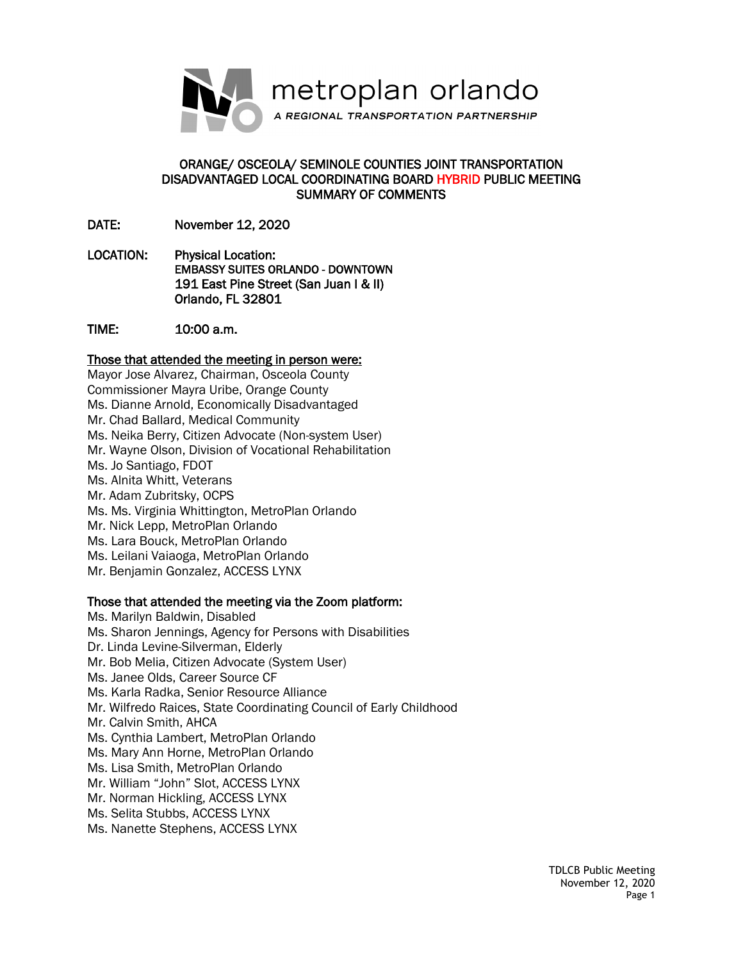

## ORANGE/ OSCEOLA/ SEMINOLE COUNTIES JOINT TRANSPORTATION DISADVANTAGED LOCAL COORDINATING BOARD HYBRID PUBLIC MEETING SUMMARY OF COMMENTS

DATE: November 12, 2020

LOCATION: Physical Location: EMBASSY SUITES ORLANDO - DOWNTOWN 191 East Pine Street (San Juan I & II) Orlando, FL 32801

TIME: 10:00 a.m.

## Those that attended the meeting in person were:

Mayor Jose Alvarez, Chairman, Osceola County Commissioner Mayra Uribe, Orange County Ms. Dianne Arnold, Economically Disadvantaged Mr. Chad Ballard, Medical Community Ms. Neika Berry, Citizen Advocate (Non-system User) Mr. Wayne Olson, Division of Vocational Rehabilitation Ms. Jo Santiago, FDOT Ms. Alnita Whitt, Veterans Mr. Adam Zubritsky, OCPS Ms. Ms. Virginia Whittington, MetroPlan Orlando Mr. Nick Lepp, MetroPlan Orlando Ms. Lara Bouck, MetroPlan Orlando Ms. Leilani Vaiaoga, MetroPlan Orlando Mr. Benjamin Gonzalez, ACCESS LYNX

## Those that attended the meeting via the Zoom platform:

Ms. Marilyn Baldwin, Disabled Ms. Sharon Jennings, Agency for Persons with Disabilities Dr. Linda Levine-Silverman, Elderly Mr. Bob Melia, Citizen Advocate (System User) Ms. Janee Olds, Career Source CF Ms. Karla Radka, Senior Resource Alliance Mr. Wilfredo Raices, State Coordinating Council of Early Childhood Mr. Calvin Smith, AHCA Ms. Cynthia Lambert, MetroPlan Orlando Ms. Mary Ann Horne, MetroPlan Orlando Ms. Lisa Smith, MetroPlan Orlando Mr. William "John" Slot, ACCESS LYNX Mr. Norman Hickling, ACCESS LYNX Ms. Selita Stubbs, ACCESS LYNX Ms. Nanette Stephens, ACCESS LYNX

> TDLCB Public Meeting November 12, 2020 Page 1